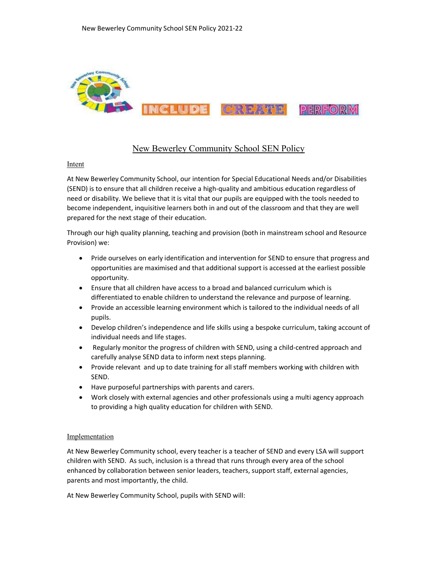

# New Bewerley Community School SEN Policy

### Intent

At New Bewerley Community School, our intention for Special Educational Needs and/or Disabilities (SEND) is to ensure that all children receive a high-quality and ambitious education regardless of need or disability. We believe that it is vital that our pupils are equipped with the tools needed to become independent, inquisitive learners both in and out of the classroom and that they are well prepared for the next stage of their education.

Through our high quality planning, teaching and provision (both in mainstream school and Resource Provision) we:

- Pride ourselves on early identification and intervention for SEND to ensure that progress and opportunities are maximised and that additional support is accessed at the earliest possible opportunity.
- Ensure that all children have access to a broad and balanced curriculum which is differentiated to enable children to understand the relevance and purpose of learning.
- Provide an accessible learning environment which is tailored to the individual needs of all pupils.
- Develop children's independence and life skills using a bespoke curriculum, taking account of individual needs and life stages.
- Regularly monitor the progress of children with SEND, using a child-centred approach and carefully analyse SEND data to inform next steps planning.
- Provide relevant and up to date training for all staff members working with children with SEND.
- Have purposeful partnerships with parents and carers.
- Work closely with external agencies and other professionals using a multi agency approach to providing a high quality education for children with SEND.

### Implementation

At New Bewerley Community school, every teacher is a teacher of SEND and every LSA will support children with SEND. As such, inclusion is a thread that runs through every area of the school enhanced by collaboration between senior leaders, teachers, support staff, external agencies, parents and most importantly, the child.

At New Bewerley Community School, pupils with SEND will: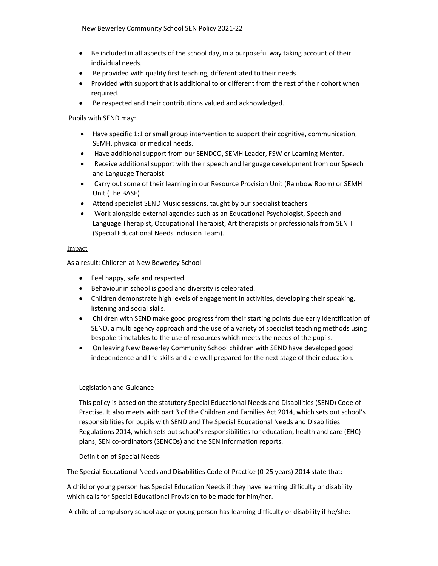New Bewerley Community School SEN Policy 2021-22

- Be included in all aspects of the school day, in a purposeful way taking account of their individual needs.
- Be provided with quality first teaching, differentiated to their needs.
- Provided with support that is additional to or different from the rest of their cohort when required.
- Be respected and their contributions valued and acknowledged.

Pupils with SEND may:

- Have specific 1:1 or small group intervention to support their cognitive, communication, SEMH, physical or medical needs.
- Have additional support from our SENDCO, SEMH Leader, FSW or Learning Mentor.
- Receive additional support with their speech and language development from our Speech and Language Therapist.
- Carry out some of their learning in our Resource Provision Unit (Rainbow Room) or SEMH Unit (The BASE)
- Attend specialist SEND Music sessions, taught by our specialist teachers
- Work alongside external agencies such as an Educational Psychologist, Speech and Language Therapist, Occupational Therapist, Art therapists or professionals from SENIT (Special Educational Needs Inclusion Team).

# Impact

As a result: Children at New Bewerley School

- Feel happy, safe and respected.
- Behaviour in school is good and diversity is celebrated.
- Children demonstrate high levels of engagement in activities, developing their speaking, listening and social skills.
- Children with SEND make good progress from their starting points due early identification of SEND, a multi agency approach and the use of a variety of specialist teaching methods using bespoke timetables to the use of resources which meets the needs of the pupils.
- On leaving New Bewerley Community School children with SEND have developed good independence and life skills and are well prepared for the next stage of their education.

# Legislation and Guidance

This policy is based on the statutory Special Educational Needs and Disabilities (SEND) Code of Practise. It also meets with part 3 of the Children and Families Act 2014, which sets out school's responsibilities for pupils with SEND and The Special Educational Needs and Disabilities Regulations 2014, which sets out school's responsibilities for education, health and care (EHC) plans, SEN co-ordinators (SENCOs) and the SEN information reports.

# Definition of Special Needs

The Special Educational Needs and Disabilities Code of Practice (0-25 years) 2014 state that:

A child or young person has Special Education Needs if they have learning difficulty or disability which calls for Special Educational Provision to be made for him/her.

A child of compulsory school age or young person has learning difficulty or disability if he/she: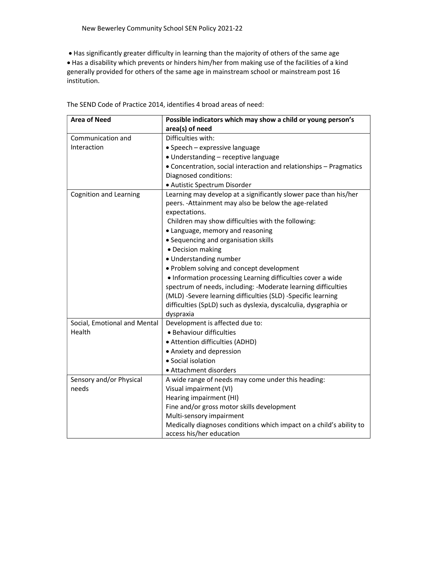Has significantly greater difficulty in learning than the majority of others of the same age Has a disability which prevents or hinders him/her from making use of the facilities of a kind generally provided for others of the same age in mainstream school or mainstream post 16 institution.

| <b>Area of Need</b>           | Possible indicators which may show a child or young person's        |
|-------------------------------|---------------------------------------------------------------------|
|                               | area(s) of need                                                     |
| Communication and             | Difficulties with:                                                  |
| Interaction                   | · Speech - expressive language                                      |
|                               | · Understanding - receptive language                                |
|                               | • Concentration, social interaction and relationships - Pragmatics  |
|                               | Diagnosed conditions:                                               |
|                               | · Autistic Spectrum Disorder                                        |
| <b>Cognition and Learning</b> | Learning may develop at a significantly slower pace than his/her    |
|                               | peers. - Attainment may also be below the age-related               |
|                               | expectations.                                                       |
|                               | Children may show difficulties with the following:                  |
|                               | • Language, memory and reasoning                                    |
|                               | • Sequencing and organisation skills                                |
|                               | • Decision making                                                   |
|                               | · Understanding number                                              |
|                               | • Problem solving and concept development                           |
|                               | . Information processing Learning difficulties cover a wide         |
|                               | spectrum of needs, including: -Moderate learning difficulties       |
|                               | (MLD) -Severe learning difficulties (SLD) -Specific learning        |
|                               | difficulties (SpLD) such as dyslexia, dyscalculia, dysgraphia or    |
|                               | dyspraxia                                                           |
| Social, Emotional and Mental  | Development is affected due to:                                     |
| Health                        | · Behaviour difficulties                                            |
|                               | • Attention difficulties (ADHD)                                     |
|                               | • Anxiety and depression                                            |
|                               | • Social isolation                                                  |
|                               | • Attachment disorders                                              |
| Sensory and/or Physical       | A wide range of needs may come under this heading:                  |
| needs                         | Visual impairment (VI)                                              |
|                               | Hearing impairment (HI)                                             |
|                               | Fine and/or gross motor skills development                          |
|                               | Multi-sensory impairment                                            |
|                               | Medically diagnoses conditions which impact on a child's ability to |
|                               | access his/her education                                            |

The SEND Code of Practice 2014, identifies 4 broad areas of need: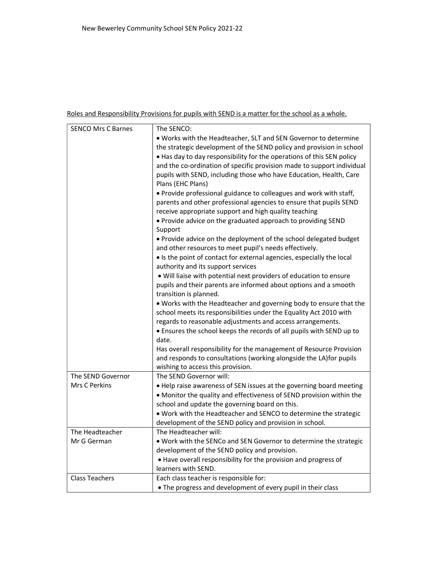# Roles and Responsibility Provisions for pupils with SEND is a matter for the school as a whole.

| <b>SENCO Mrs C Barnes</b> | The SENCO:                                                             |
|---------------------------|------------------------------------------------------------------------|
|                           | . Works with the Headteacher, SLT and SEN Governor to determine        |
|                           | the strategic development of the SEND policy and provision in school   |
|                           | . Has day to day responsibility for the operations of this SEN policy  |
|                           | and the co-ordination of specific provision made to support individual |
|                           | pupils with SEND, including those who have Education, Health, Care     |
|                           | Plans (EHC Plans)                                                      |
|                           | . Provide professional guidance to colleagues and work with staff,     |
|                           | parents and other professional agencies to ensure that pupils SEND     |
|                           | receive appropriate support and high quality teaching                  |
|                           | . Provide advice on the graduated approach to providing SEND           |
|                           | Support                                                                |
|                           | . Provide advice on the deployment of the school delegated budget      |
|                           | and other resources to meet pupil's needs effectively.                 |
|                           | • Is the point of contact for external agencies, especially the local  |
|                           | authority and its support services                                     |
|                           | . Will liaise with potential next providers of education to ensure     |
|                           | pupils and their parents are informed about options and a smooth       |
|                           | transition is planned.                                                 |
|                           | . Works with the Headteacher and governing body to ensure that the     |
|                           | school meets its responsibilities under the Equality Act 2010 with     |
|                           | regards to reasonable adjustments and access arrangements.             |
|                           | • Ensures the school keeps the records of all pupils with SEND up to   |
|                           | date.                                                                  |
|                           | Has overall responsibility for the management of Resource Provision    |
|                           | and responds to consultations (working alongside the LA) for pupils    |
|                           | wishing to access this provision.                                      |
| The SEND Governor         | The SEND Governor will:                                                |
| Mrs C Perkins             | . Help raise awareness of SEN issues at the governing board meeting    |
|                           | • Monitor the quality and effectiveness of SEND provision within the   |
|                           | school and update the governing board on this.                         |
|                           | . Work with the Headteacher and SENCO to determine the strategic       |
|                           | development of the SEND policy and provision in school.                |
| The Headteacher           | The Headteacher will:                                                  |
| Mr G German               | . Work with the SENCo and SEN Governor to determine the strategic      |
|                           | development of the SEND policy and provision.                          |
|                           | . Have overall responsibility for the provision and progress of        |
|                           | learners with SEND.                                                    |
| <b>Class Teachers</b>     | Each class teacher is responsible for:                                 |
|                           | • The progress and development of every pupil in their class           |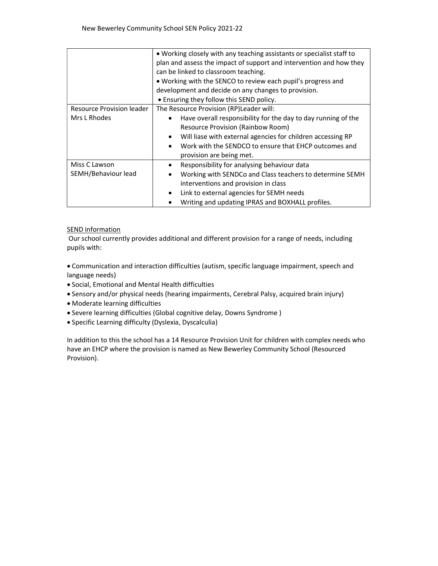|                           | • Working closely with any teaching assistants or specialist staff to<br>plan and assess the impact of support and intervention and how they<br>can be linked to classroom teaching.<br>. Working with the SENCO to review each pupil's progress and<br>development and decide on any changes to provision. |
|---------------------------|-------------------------------------------------------------------------------------------------------------------------------------------------------------------------------------------------------------------------------------------------------------------------------------------------------------|
|                           | • Ensuring they follow this SEND policy.                                                                                                                                                                                                                                                                    |
| Resource Provision leader | The Resource Provision (RP) Leader will:                                                                                                                                                                                                                                                                    |
| Mrs L Rhodes              | Have overall responsibility for the day to day running of the<br>$\bullet$<br><b>Resource Provision (Rainbow Room)</b><br>Will liase with external agencies for children accessing RP<br>Work with the SENDCO to ensure that EHCP outcomes and<br>$\bullet$<br>provision are being met.                     |
| Miss C Lawson             | Responsibility for analysing behaviour data                                                                                                                                                                                                                                                                 |
| SEMH/Behaviour lead       | Working with SENDCo and Class teachers to determine SEMH<br>$\bullet$<br>interventions and provision in class                                                                                                                                                                                               |
|                           | Link to external agencies for SEMH needs                                                                                                                                                                                                                                                                    |
|                           | Writing and updating IPRAS and BOXHALL profiles.                                                                                                                                                                                                                                                            |

# SEND information

 Our school currently provides additional and different provision for a range of needs, including pupils with:

 Communication and interaction difficulties (autism, specific language impairment, speech and language needs)

- Social, Emotional and Mental Health difficulties
- Sensory and/or physical needs (hearing impairments, Cerebral Palsy, acquired brain injury)
- Moderate learning difficulties
- Severe learning difficulties (Global cognitive delay, Downs Syndrome )
- Specific Learning difficulty (Dyslexia, Dyscalculia)

In addition to this the school has a 14 Resource Provision Unit for children with complex needs who have an EHCP where the provision is named as New Bewerley Community School (Resourced Provision).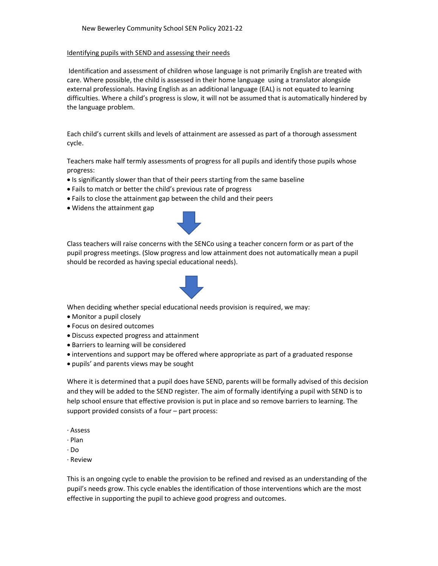#### Identifying pupils with SEND and assessing their needs

 Identification and assessment of children whose language is not primarily English are treated with care. Where possible, the child is assessed in their home language using a translator alongside external professionals. Having English as an additional language (EAL) is not equated to learning difficulties. Where a child's progress is slow, it will not be assumed that is automatically hindered by the language problem.

Each child's current skills and levels of attainment are assessed as part of a thorough assessment cycle.

Teachers make half termly assessments of progress for all pupils and identify those pupils whose progress:

- Is significantly slower than that of their peers starting from the same baseline
- Fails to match or better the child's previous rate of progress
- Fails to close the attainment gap between the child and their peers
- Widens the attainment gap



Class teachers will raise concerns with the SENCo using a teacher concern form or as part of the pupil progress meetings. (Slow progress and low attainment does not automatically mean a pupil should be recorded as having special educational needs).



When deciding whether special educational needs provision is required, we may:

- Monitor a pupil closely
- Focus on desired outcomes
- Discuss expected progress and attainment
- Barriers to learning will be considered
- interventions and support may be offered where appropriate as part of a graduated response
- pupils' and parents views may be sought

Where it is determined that a pupil does have SEND, parents will be formally advised of this decision and they will be added to the SEND register. The aim of formally identifying a pupil with SEND is to help school ensure that effective provision is put in place and so remove barriers to learning. The support provided consists of a four – part process:

- · Assess
- · Plan
- · Do
- · Review

This is an ongoing cycle to enable the provision to be refined and revised as an understanding of the pupil's needs grow. This cycle enables the identification of those interventions which are the most effective in supporting the pupil to achieve good progress and outcomes.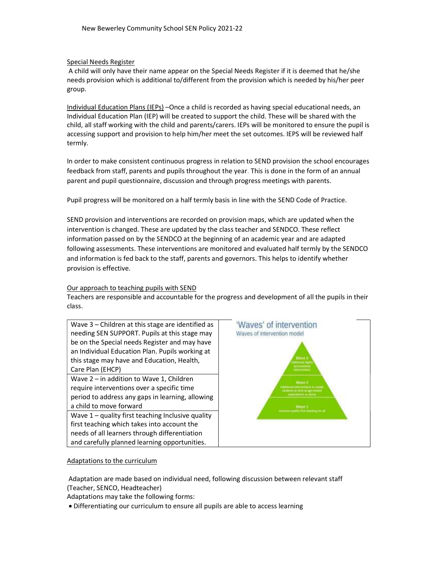### Special Needs Register

 A child will only have their name appear on the Special Needs Register if it is deemed that he/she needs provision which is additional to/different from the provision which is needed by his/her peer group.

Individual Education Plans (IEPs) –Once a child is recorded as having special educational needs, an Individual Education Plan (IEP) will be created to support the child. These will be shared with the child, all staff working with the child and parents/carers. IEPs will be monitored to ensure the pupil is accessing support and provision to help him/her meet the set outcomes. IEPS will be reviewed half termly.

In order to make consistent continuous progress in relation to SEND provision the school encourages feedback from staff, parents and pupils throughout the year. This is done in the form of an annual parent and pupil questionnaire, discussion and through progress meetings with parents.

Pupil progress will be monitored on a half termly basis in line with the SEND Code of Practice.

SEND provision and interventions are recorded on provision maps, which are updated when the intervention is changed. These are updated by the class teacher and SENDCO. These reflect information passed on by the SENDCO at the beginning of an academic year and are adapted following assessments. These interventions are monitored and evaluated half termly by the SENDCO and information is fed back to the staff, parents and governors. This helps to identify whether provision is effective.

### Our approach to teaching pupils with SEND

Teachers are responsible and accountable for the progress and development of all the pupils in their class.



# Adaptations to the curriculum

 Adaptation are made based on individual need, following discussion between relevant staff (Teacher, SENCO, Headteacher)

Adaptations may take the following forms:

Differentiating our curriculum to ensure all pupils are able to access learning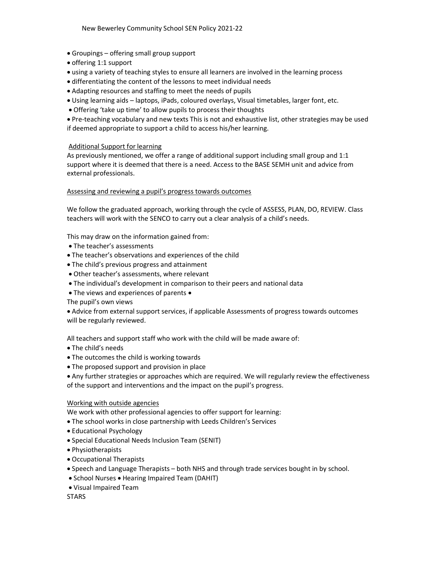- Groupings offering small group support
- offering 1:1 support
- using a variety of teaching styles to ensure all learners are involved in the learning process
- differentiating the content of the lessons to meet individual needs
- Adapting resources and staffing to meet the needs of pupils
- Using learning aids laptops, iPads, coloured overlays, Visual timetables, larger font, etc.
- Offering 'take up time' to allow pupils to process their thoughts

 Pre-teaching vocabulary and new texts This is not and exhaustive list, other strategies may be used if deemed appropriate to support a child to access his/her learning.

# Additional Support for learning

As previously mentioned, we offer a range of additional support including small group and 1:1 support where it is deemed that there is a need. Access to the BASE SEMH unit and advice from external professionals.

## Assessing and reviewing a pupil's progress towards outcomes

We follow the graduated approach, working through the cycle of ASSESS, PLAN, DO, REVIEW. Class teachers will work with the SENCO to carry out a clear analysis of a child's needs.

This may draw on the information gained from:

- The teacher's assessments
- The teacher's observations and experiences of the child
- The child's previous progress and attainment
- Other teacher's assessments, where relevant
- The individual's development in comparison to their peers and national data
- The views and experiences of parents •

The pupil's own views

 Advice from external support services, if applicable Assessments of progress towards outcomes will be regularly reviewed.

All teachers and support staff who work with the child will be made aware of:

- The child's needs
- The outcomes the child is working towards
- The proposed support and provision in place
- Any further strategies or approaches which are required. We will regularly review the effectiveness of the support and interventions and the impact on the pupil's progress.

# Working with outside agencies

We work with other professional agencies to offer support for learning:

- The school works in close partnership with Leeds Children's Services
- Educational Psychology
- Special Educational Needs Inclusion Team (SENIT)
- Physiotherapists
- Occupational Therapists
- Speech and Language Therapists both NHS and through trade services bought in by school.
- School Nurses Hearing Impaired Team (DAHIT)
- Visual Impaired Team

**STARS**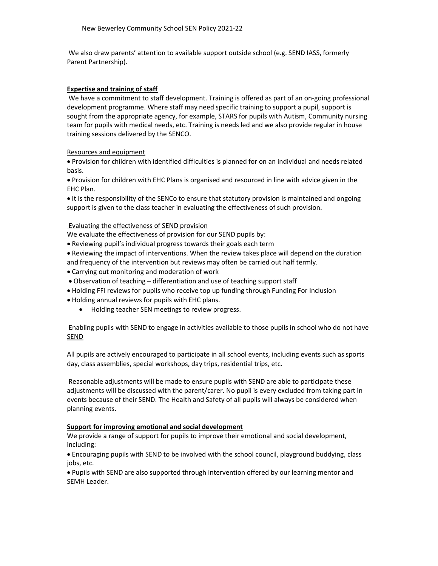We also draw parents' attention to available support outside school (e.g. SEND IASS, formerly Parent Partnership).

### Expertise and training of staff

 We have a commitment to staff development. Training is offered as part of an on-going professional development programme. Where staff may need specific training to support a pupil, support is sought from the appropriate agency, for example, STARS for pupils with Autism, Community nursing team for pupils with medical needs, etc. Training is needs led and we also provide regular in house training sessions delivered by the SENCO.

## Resources and equipment

 Provision for children with identified difficulties is planned for on an individual and needs related basis.

 Provision for children with EHC Plans is organised and resourced in line with advice given in the EHC Plan.

It is the responsibility of the SENCo to ensure that statutory provision is maintained and ongoing support is given to the class teacher in evaluating the effectiveness of such provision.

## Evaluating the effectiveness of SEND provision

We evaluate the effectiveness of provision for our SEND pupils by:

- Reviewing pupil's individual progress towards their goals each term
- Reviewing the impact of interventions. When the review takes place will depend on the duration and frequency of the intervention but reviews may often be carried out half termly.
- Carrying out monitoring and moderation of work
- Observation of teaching differentiation and use of teaching support staff
- Holding FFI reviews for pupils who receive top up funding through Funding For Inclusion
- Holding annual reviews for pupils with EHC plans.
	- Holding teacher SEN meetings to review progress.

## Enabling pupils with SEND to engage in activities available to those pupils in school who do not have SEND

All pupils are actively encouraged to participate in all school events, including events such as sports day, class assemblies, special workshops, day trips, residential trips, etc.

 Reasonable adjustments will be made to ensure pupils with SEND are able to participate these adjustments will be discussed with the parent/carer. No pupil is every excluded from taking part in events because of their SEND. The Health and Safety of all pupils will always be considered when planning events.

### Support for improving emotional and social development

We provide a range of support for pupils to improve their emotional and social development, including:

 Encouraging pupils with SEND to be involved with the school council, playground buddying, class jobs, etc.

 Pupils with SEND are also supported through intervention offered by our learning mentor and SEMH Leader.